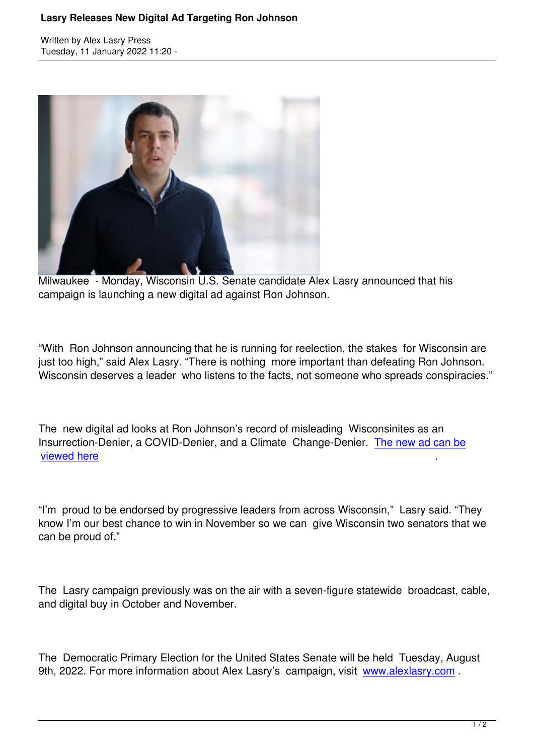

Milwaukee - Monday, Wisconsin U.S. Senate candidate Alex Lasry announced that his campaign is launching a new digital ad against Ron Johnson.

"With Ron Johnson announcing that he is running for reelection, the stakes for Wisconsin are just too high," said Alex Lasry. "There is nothing more important than defeating Ron Johnson. Wisconsin deserves a leader who listens to the facts, not someone who spreads conspiracies."

The new digital ad looks at Ron Johnson's record of misleading Wisconsinites as an Insurrection-Denier, a COVID-Denier, and a Climate Change-Denier. The new ad can be viewed here

["I'm proud to](https://alexlasry.us7.list-manage.com/track/click?u=87dd3e6e8031dde65e7492463&id=5b18e72bc8&e=0169005fc6) be endorsed by progressive leaders from across Wisconsin," Lasry said. "They know I'm our best chance to win in November so we can give Wisconsin two senators that we can be proud of."

The Lasry campaign previously was on the air with a seven-figure statewide broadcast, cable, and digital buy in October and November.

The Democratic Primary Election for the United States Senate will be held Tuesday, August 9th, 2022. For more information about Alex Lasry's campaign, visit www.alexlasry.com.